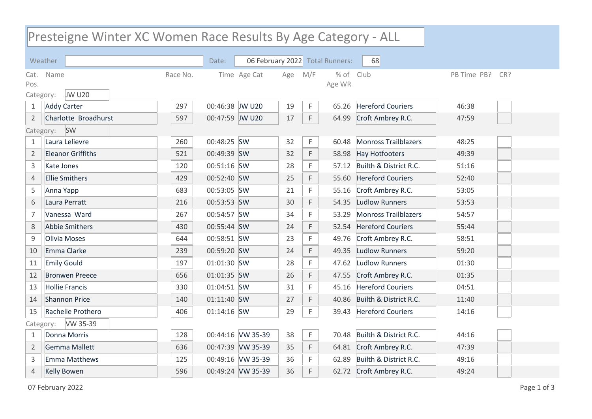## Presteigne Winter XC Women Race Results By Age Category - ALL

|                       | Weather                  |          | Date:           |                   |     |     | 06 February 2022 Total Runners: | 68                           |                    |  |
|-----------------------|--------------------------|----------|-----------------|-------------------|-----|-----|---------------------------------|------------------------------|--------------------|--|
|                       | Cat. Name                | Race No. |                 | Time Age Cat      | Age | M/F | $%$ of                          | Club                         | PB Time PB?<br>CR? |  |
| Pos.                  |                          |          |                 |                   |     |     | Age WR                          |                              |                    |  |
| Category:             | <b>JW U20</b>            |          |                 |                   |     |     |                                 |                              |                    |  |
| $\mathbf{1}$          | <b>Addy Carter</b>       | 297      | 00:46:38 JW U20 |                   | 19  | F.  | 65.26                           | <b>Hereford Couriers</b>     | 46:38              |  |
| $\overline{2}$        | Charlotte Broadhurst     | 597      | 00:47:59 JW U20 |                   | 17  | F.  | 64.99                           | Croft Ambrey R.C.            | 47:59              |  |
|                       | <b>SW</b><br>Category:   |          |                 |                   |     |     |                                 |                              |                    |  |
| $\mathbf{1}$          | Laura Lelievre           | 260      | 00:48:25 SW     |                   | 32  | F.  | 60.48                           | <b>Monross Trailblazers</b>  | 48:25              |  |
| $\overline{2}$        | <b>Eleanor Griffiths</b> | 521      | 00:49:39 SW     |                   | 32  | F.  | 58.98                           | <b>Hay Hotfooters</b>        | 49:39              |  |
| 3                     | <b>Kate Jones</b>        | 120      | 00:51:16 SW     |                   | 28  | F.  |                                 | 57.12 Builth & District R.C. | 51:16              |  |
| $\overline{4}$        | <b>Ellie Smithers</b>    | 429      | 00:52:40 SW     |                   | 25  | F   | 55.60                           | <b>Hereford Couriers</b>     | 52:40              |  |
| 5                     | Anna Yapp                | 683      | 00:53:05 SW     |                   | 21  | F   | 55.16                           | Croft Ambrey R.C.            | 53:05              |  |
| 6                     | Laura Perratt            | 216      | 00:53:53 SW     |                   | 30  | F   | 54.35                           | Ludlow Runners               | 53:53              |  |
| $\overline{7}$        | Vanessa Ward             | 267      | 00:54:57 SW     |                   | 34  | F.  | 53.29                           | Monross Trailblazers         | 54:57              |  |
| 8                     | <b>Abbie Smithers</b>    | 430      | 00:55:44 SW     |                   | 24  | F.  | 52.54                           | <b>Hereford Couriers</b>     | 55:44              |  |
| $\mathsf 9$           | Olivia Moses             | 644      | 00:58:51 SW     |                   | 23  | F   | 49.76                           | Croft Ambrey R.C.            | 58:51              |  |
| 10                    | Emma Clarke              | 239      | 00:59:20 SW     |                   | 24  | F.  | 49.35                           | <b>Ludlow Runners</b>        | 59:20              |  |
| 11                    | <b>Emily Gould</b>       | 197      | 01:01:30 SW     |                   | 28  | F.  |                                 | 47.62 Ludlow Runners         | 01:30              |  |
| 12                    | <b>Bronwen Preece</b>    | 656      | 01:01:35 SW     |                   | 26  | F   | 47.55                           | Croft Ambrey R.C.            | 01:35              |  |
| 13                    | <b>Hollie Francis</b>    | 330      | 01:04:51 SW     |                   | 31  | F   | 45.16                           | <b>Hereford Couriers</b>     | 04:51              |  |
| 14                    | <b>Shannon Price</b>     | 140      | 01:11:40 SW     |                   | 27  | F.  | 40.86                           | Builth & District R.C.       | 11:40              |  |
| 15                    | Rachelle Prothero        | 406      | 01:14:16 SW     |                   | 29  | F.  | 39.43                           | <b>Hereford Couriers</b>     | 14:16              |  |
| VW 35-39<br>Category: |                          |          |                 |                   |     |     |                                 |                              |                    |  |
| $\mathbf{1}$          | Donna Morris             | 128      |                 | 00:44:16 VW 35-39 | 38  | F.  | 70.48                           | Builth & District R.C.       | 44:16              |  |
| $\overline{2}$        | <b>Gemma Mallett</b>     | 636      |                 | 00:47:39 VW 35-39 | 35  | F.  | 64.81                           | Croft Ambrey R.C.            | 47:39              |  |
| 3                     | <b>Emma Matthews</b>     | 125      |                 | 00:49:16 VW 35-39 | 36  | F.  | 62.89                           | Builth & District R.C.       | 49:16              |  |
| $\overline{4}$        | <b>Kelly Bowen</b>       | 596      |                 | 00:49:24 VW 35-39 | 36  | F.  |                                 | 62.72 Croft Ambrey R.C.      | 49:24              |  |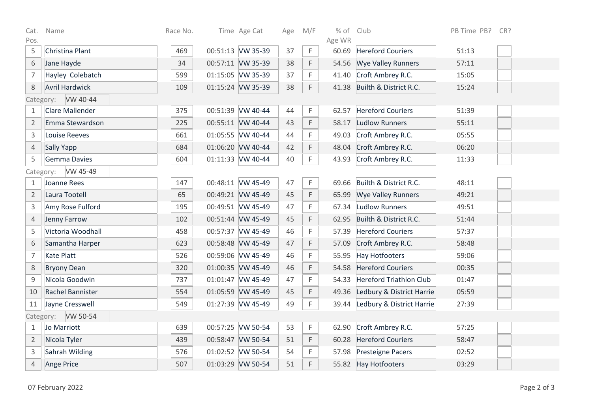| Cat.                  | Name                  | Race No. |  | Time Age Cat      | Age | M/F | % of Club       |                                | PB Time PB?<br>CR? |  |
|-----------------------|-----------------------|----------|--|-------------------|-----|-----|-----------------|--------------------------------|--------------------|--|
| Pos.<br>5             |                       | 469      |  | 00:51:13 VW 35-39 | 37  | F.  | Age WR<br>60.69 | <b>Hereford Couriers</b>       |                    |  |
|                       | Christina Plant       |          |  |                   |     |     |                 |                                | 51:13              |  |
| $6\,$                 | Jane Hayde            | 34       |  | 00:57:11 VW 35-39 | 38  | F.  | 54.56           | <b>Wye Valley Runners</b>      | 57:11              |  |
| $\overline{7}$        | Hayley Colebatch      | 599      |  | 01:15:05 VW 35-39 | 37  | F.  | 41.40           | Croft Ambrey R.C.              | 15:05              |  |
| $\,8\,$               | <b>Avril Hardwick</b> | 109      |  | 01:15:24 VW 35-39 | 38  | F   | 41.38           | Builth & District R.C.         | 15:24              |  |
| VW 40-44<br>Category: |                       |          |  |                   |     |     |                 |                                |                    |  |
| 1                     | Clare Mallender       | 375      |  | 00:51:39 VW 40-44 | 44  | F.  | 62.57           | <b>Hereford Couriers</b>       | 51:39              |  |
| $\overline{2}$        | Emma Stewardson       | 225      |  | 00:55:11 VW 40-44 | 43  | F   | 58.17           | <b>Ludlow Runners</b>          | 55:11              |  |
| $\overline{3}$        | Louise Reeves         | 661      |  | 01:05:55 VW 40-44 | 44  | F   | 49.03           | Croft Ambrey R.C.              | 05:55              |  |
| $\overline{4}$        | Sally Yapp            | 684      |  | 01:06:20 VW 40-44 | 42  | F.  | 48.04           | Croft Ambrey R.C.              | 06:20              |  |
| 5                     | <b>Gemma Davies</b>   | 604      |  | 01:11:33 VW 40-44 | 40  | F.  | 43.93           | Croft Ambrey R.C.              | 11:33              |  |
| VW 45-49<br>Category: |                       |          |  |                   |     |     |                 |                                |                    |  |
| $\mathbf{1}$          | Joanne Rees           | 147      |  | 00:48:11 VW 45-49 | 47  | F.  | 69.66           | Builth & District R.C.         | 48:11              |  |
| $\overline{2}$        | Laura Tootell         | 65       |  | 00:49:21 VW 45-49 | 45  | F   | 65.99           | <b>Wye Valley Runners</b>      | 49:21              |  |
| 3                     | Amy Rose Fulford      | 195      |  | 00:49:51 VW 45-49 | 47  | F.  | 67.34           | <b>Ludlow Runners</b>          | 49:51              |  |
| $\overline{4}$        | Jenny Farrow          | 102      |  | 00:51:44 VW 45-49 | 45  | F.  | 62.95           | Builth & District R.C.         | 51:44              |  |
| 5                     | Victoria Woodhall     | 458      |  | 00:57:37 VW 45-49 | 46  | F.  | 57.39           | <b>Hereford Couriers</b>       | 57:37              |  |
| $\,$ 6 $\,$           | Samantha Harper       | 623      |  | 00:58:48 VW 45-49 | 47  | F.  | 57.09           | Croft Ambrey R.C.              | 58:48              |  |
| $\overline{7}$        | <b>Kate Platt</b>     | 526      |  | 00:59:06 VW 45-49 | 46  | F.  | 55.95           | <b>Hay Hotfooters</b>          | 59:06              |  |
| 8                     | <b>Bryony Dean</b>    | 320      |  | 01:00:35 VW 45-49 | 46  | F.  | 54.58           | <b>Hereford Couriers</b>       | 00:35              |  |
| 9                     | Nicola Goodwin        | 737      |  | 01:01:47 VW 45-49 | 47  | F   | 54.33           | <b>Hereford Triathlon Club</b> | 01:47              |  |
| 10                    | Rachel Bannister      | 554      |  | 01:05:59 VW 45-49 | 45  | F   | 49.36           | Ledbury & District Harrie      | 05:59              |  |
| 11                    | Jayne Cresswell       | 549      |  | 01:27:39 VW 45-49 | 49  | F.  | 39.44           | Ledbury & District Harrie      | 27:39              |  |
| Category: VW 50-54    |                       |          |  |                   |     |     |                 |                                |                    |  |
| $\mathbf{1}$          | Jo Marriott           | 639      |  | 00:57:25 VW 50-54 | 53  | F.  | 62.90           | Croft Ambrey R.C.              | 57:25              |  |
| $\overline{2}$        | Nicola Tyler          | 439      |  | 00:58:47 VW 50-54 | 51  | F.  | 60.28           | <b>Hereford Couriers</b>       | 58:47              |  |
| 3                     | Sahrah Wilding        | 576      |  | 01:02:52 VW 50-54 | 54  | F.  |                 | 57.98 Presteigne Pacers        | 02:52              |  |
| $\overline{4}$        | Ange Price            | 507      |  | 01:03:29 VW 50-54 | 51  | F.  |                 | 55.82 Hay Hotfooters           | 03:29              |  |